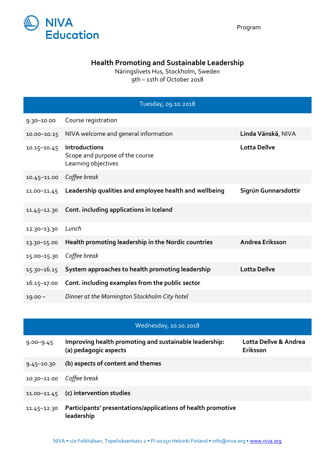

## **Health Promoting and Sustainable Leadership**

Näringslivets Hus, Stockholm, Sweden 9th – 11th of October 2018

|                 | Tuesday, 09.10.2018                                                     |                      |
|-----------------|-------------------------------------------------------------------------|----------------------|
| $9.30 - 10.00$  | Course registration                                                     |                      |
| $10.00 - 10.15$ | NIVA welcome and general information                                    | Linda Vänskä, NIVA   |
| $10.15 - 10.45$ | Introductions<br>Scope and purpose of the course<br>Learning objectives | <b>Lotta Dellve</b>  |
| $10.45 - 11.00$ | Coffee break                                                            |                      |
| $11.00 - 11.45$ | Leadership qualities and employee health and wellbeing                  | Sigrún Gunnarsdottir |
| $11.45 - 12.30$ | Cont. including applications in Iceland                                 |                      |
| 12.30-13.30     | Lunch                                                                   |                      |
| 13.30-15.00     | Health promoting leadership in the Nordic countries                     | Andrea Eriksson      |
| 15.00-15.30     | Coffee break                                                            |                      |
| 15.30-16.15     | System approaches to health promoting leadership                        | <b>Lotta Dellve</b>  |
| $16.15 - 17.00$ | Cont. including examples from the public sector                         |                      |
| $19.00 -$       | Dinner at the Mornington Stockholm City hotel                           |                      |

## Wednesday, 10.10.2018

| $9.00 - 9.45$            | Improving health promoting and sustainable leadership:<br>(a) pedagogic aspects | Lotta Dellve & Andrea<br>Eriksson |
|--------------------------|---------------------------------------------------------------------------------|-----------------------------------|
| $9.45 - 10.30$           | (b) aspects of content and themes                                               |                                   |
| 10.30-11.00 Coffee break |                                                                                 |                                   |
| 11.00-11.45              | (c) intervention studies                                                        |                                   |
| $11.45 - 12.30$          | Participants' presentations/applications of health promotive<br>leadership      |                                   |